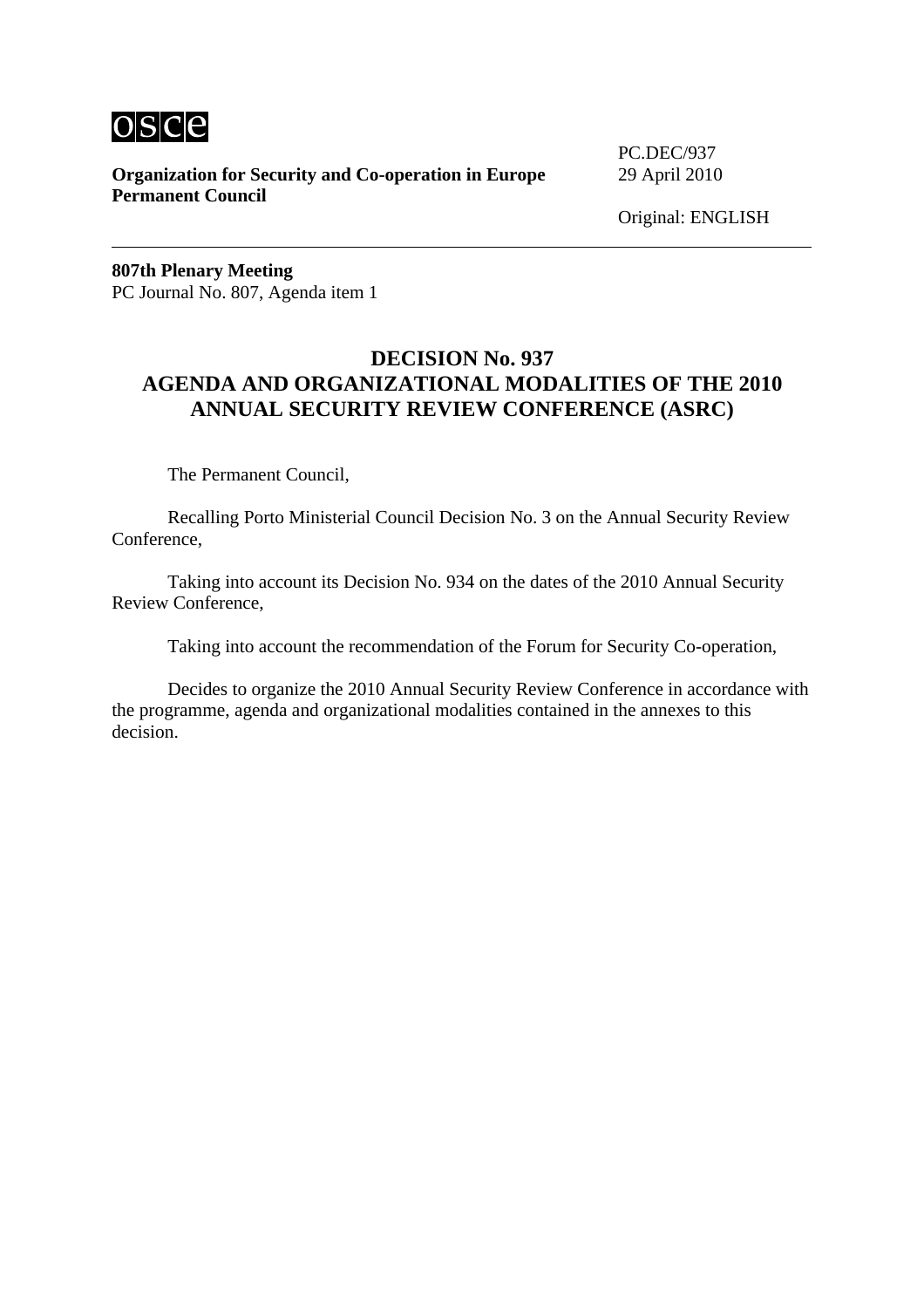

**Organization for Security and Co-operation in Europe** 29 April 2010 **Permanent Council** 

PC.DEC/937

**807th Plenary Meeting** PC Journal No. 807, Agenda item 1

# **DECISION No. 937 AGENDA AND ORGANIZATIONAL MODALITIES OF THE 2010 ANNUAL SECURITY REVIEW CONFERENCE (ASRC)**

The Permanent Council,

Recalling Porto Ministerial Council Decision No. 3 on the Annual Security Review Conference,

Taking into account its Decision No. 934 on the dates of the 2010 Annual Security Review Conference,

Taking into account the recommendation of the Forum for Security Co-operation,

Decides to organize the 2010 Annual Security Review Conference in accordance with the programme, agenda and organizational modalities contained in the annexes to this decision.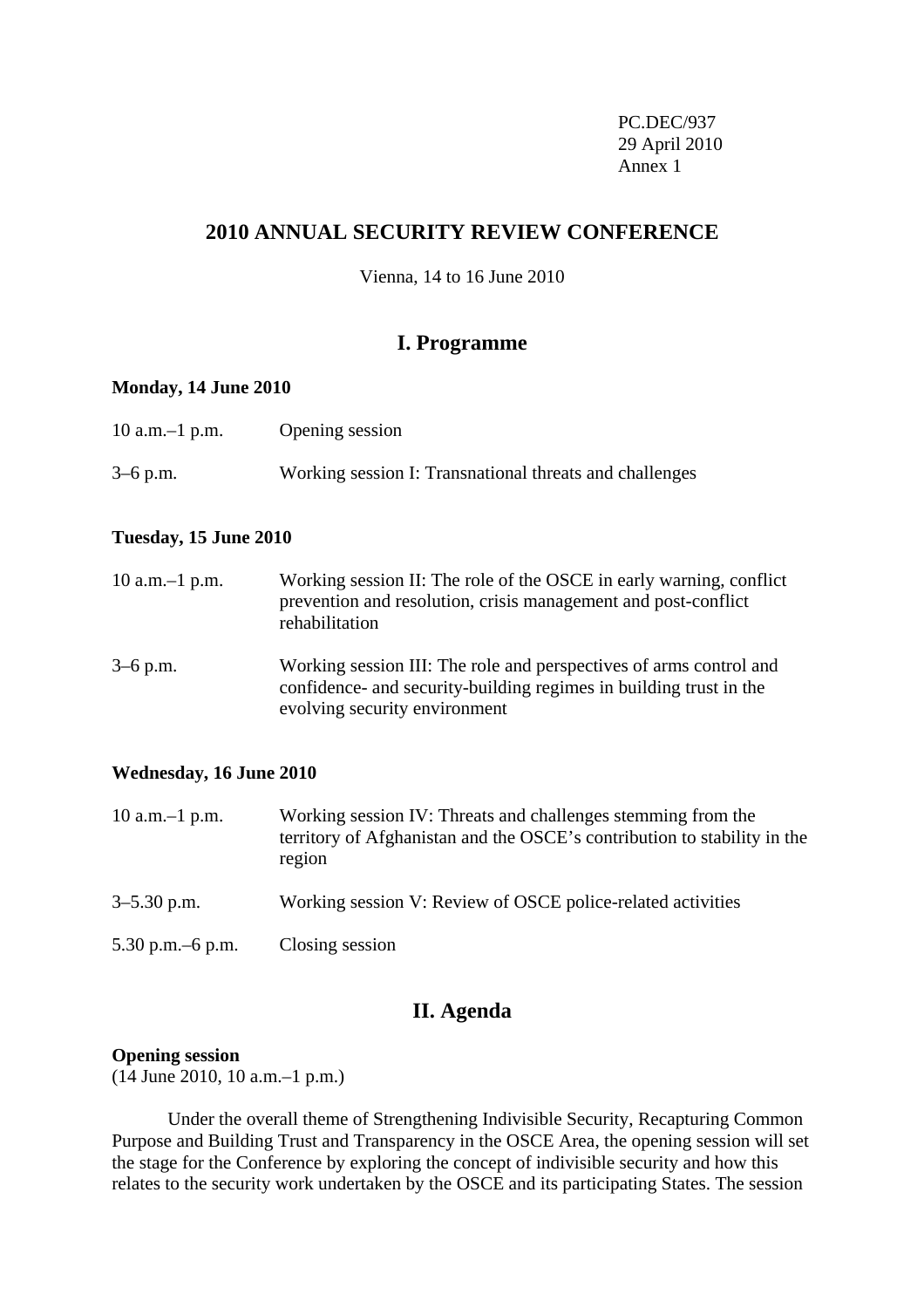PC.DEC/937 29 April 2010 Annex 1

# **2010 ANNUAL SECURITY REVIEW CONFERENCE**

Vienna, 14 to 16 June 2010

# **I. Programme**

## **Monday, 14 June 2010**

| 10 a.m. $-1$ p.m. | Opening session                                         |
|-------------------|---------------------------------------------------------|
| $3-6$ p.m.        | Working session I: Transnational threats and challenges |

# **Tuesday, 15 June 2010**

| 10 a.m. $-1$ p.m. | Working session II: The role of the OSCE in early warning, conflict<br>prevention and resolution, crisis management and post-conflict<br>rehabilitation                   |
|-------------------|---------------------------------------------------------------------------------------------------------------------------------------------------------------------------|
| $3-6$ p.m.        | Working session III: The role and perspectives of arms control and<br>confidence- and security-building regimes in building trust in the<br>evolving security environment |

## **Wednesday, 16 June 2010**

| $10$ a.m. $-1$ p.m. | Working session IV: Threats and challenges stemming from the<br>territory of Afghanistan and the OSCE's contribution to stability in the<br>region |
|---------------------|----------------------------------------------------------------------------------------------------------------------------------------------------|
| $3 - 5.30$ p.m.     | Working session V: Review of OSCE police-related activities                                                                                        |
| 5.30 p.m. $-6$ p.m. | Closing session                                                                                                                                    |

# **II. Agenda**

#### **Opening session**

(14 June 2010, 10 a.m.–1 p.m.)

Under the overall theme of Strengthening Indivisible Security, Recapturing Common Purpose and Building Trust and Transparency in the OSCE Area, the opening session will set the stage for the Conference by exploring the concept of indivisible security and how this relates to the security work undertaken by the OSCE and its participating States. The session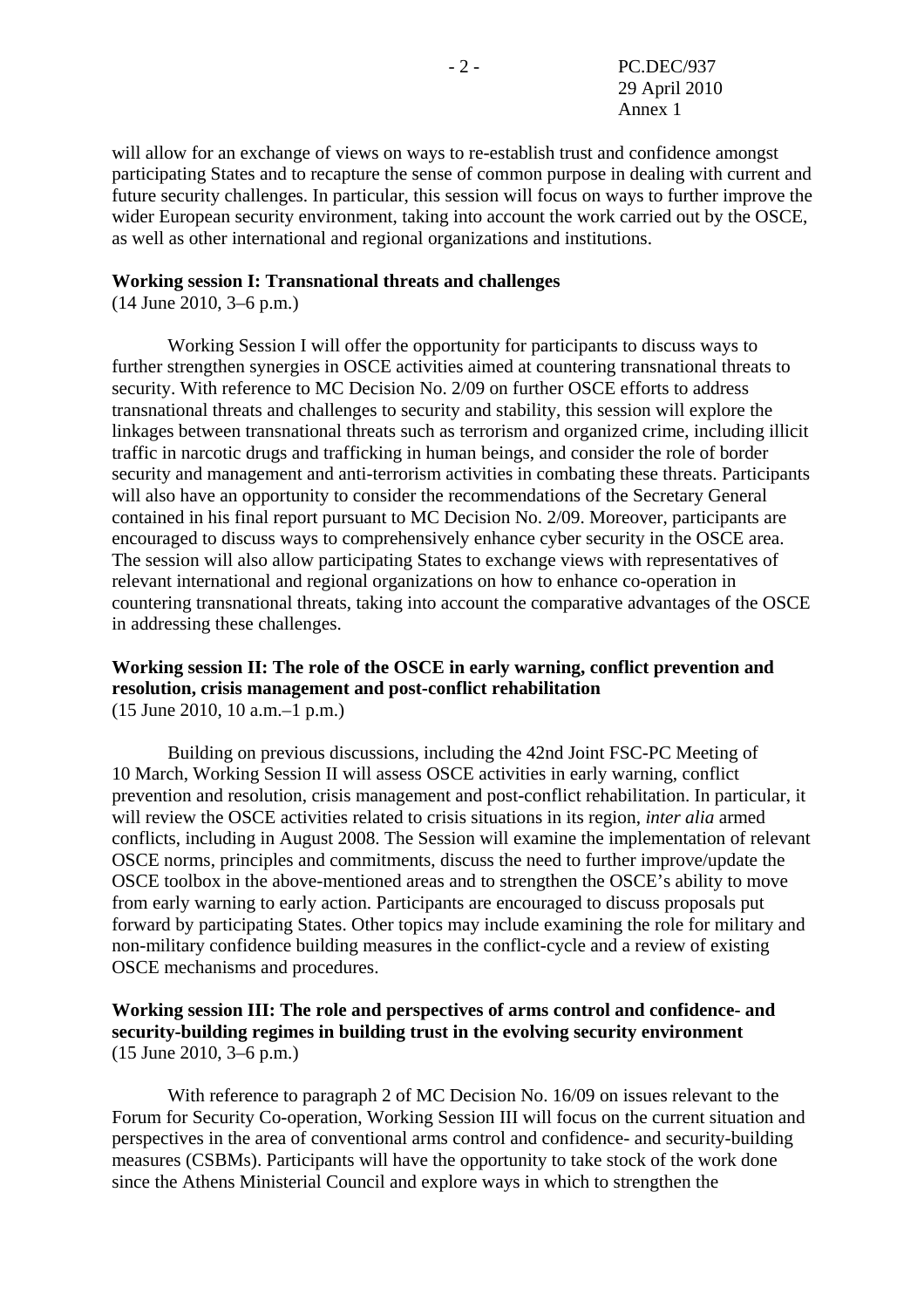will allow for an exchange of views on ways to re-establish trust and confidence amongst participating States and to recapture the sense of common purpose in dealing with current and future security challenges. In particular, this session will focus on ways to further improve the wider European security environment, taking into account the work carried out by the OSCE, as well as other international and regional organizations and institutions.

## **Working session I: Transnational threats and challenges**

(14 June 2010, 3–6 p.m.)

 Working Session I will offer the opportunity for participants to discuss ways to further strengthen synergies in OSCE activities aimed at countering transnational threats to security. With reference to MC Decision No. 2/09 on further OSCE efforts to address transnational threats and challenges to security and stability, this session will explore the linkages between transnational threats such as terrorism and organized crime, including illicit traffic in narcotic drugs and trafficking in human beings, and consider the role of border security and management and anti-terrorism activities in combating these threats. Participants will also have an opportunity to consider the recommendations of the Secretary General contained in his final report pursuant to MC Decision No. 2/09. Moreover, participants are encouraged to discuss ways to comprehensively enhance cyber security in the OSCE area. The session will also allow participating States to exchange views with representatives of relevant international and regional organizations on how to enhance co-operation in countering transnational threats, taking into account the comparative advantages of the OSCE in addressing these challenges.

# **Working session II: The role of the OSCE in early warning, conflict prevention and resolution, crisis management and post-conflict rehabilitation**

(15 June 2010, 10 a.m.–1 p.m.)

 Building on previous discussions, including the 42nd Joint FSC-PC Meeting of 10 March, Working Session II will assess OSCE activities in early warning, conflict prevention and resolution, crisis management and post-conflict rehabilitation. In particular, it will review the OSCE activities related to crisis situations in its region, *inter alia* armed conflicts, including in August 2008. The Session will examine the implementation of relevant OSCE norms, principles and commitments, discuss the need to further improve/update the OSCE toolbox in the above-mentioned areas and to strengthen the OSCE's ability to move from early warning to early action. Participants are encouraged to discuss proposals put forward by participating States. Other topics may include examining the role for military and non-military confidence building measures in the conflict-cycle and a review of existing OSCE mechanisms and procedures.

# **Working session III: The role and perspectives of arms control and confidence- and security-building regimes in building trust in the evolving security environment**  (15 June 2010, 3–6 p.m.)

 With reference to paragraph 2 of MC Decision No. 16/09 on issues relevant to the Forum for Security Co-operation, Working Session III will focus on the current situation and perspectives in the area of conventional arms control and confidence- and security-building measures (CSBMs). Participants will have the opportunity to take stock of the work done since the Athens Ministerial Council and explore ways in which to strengthen the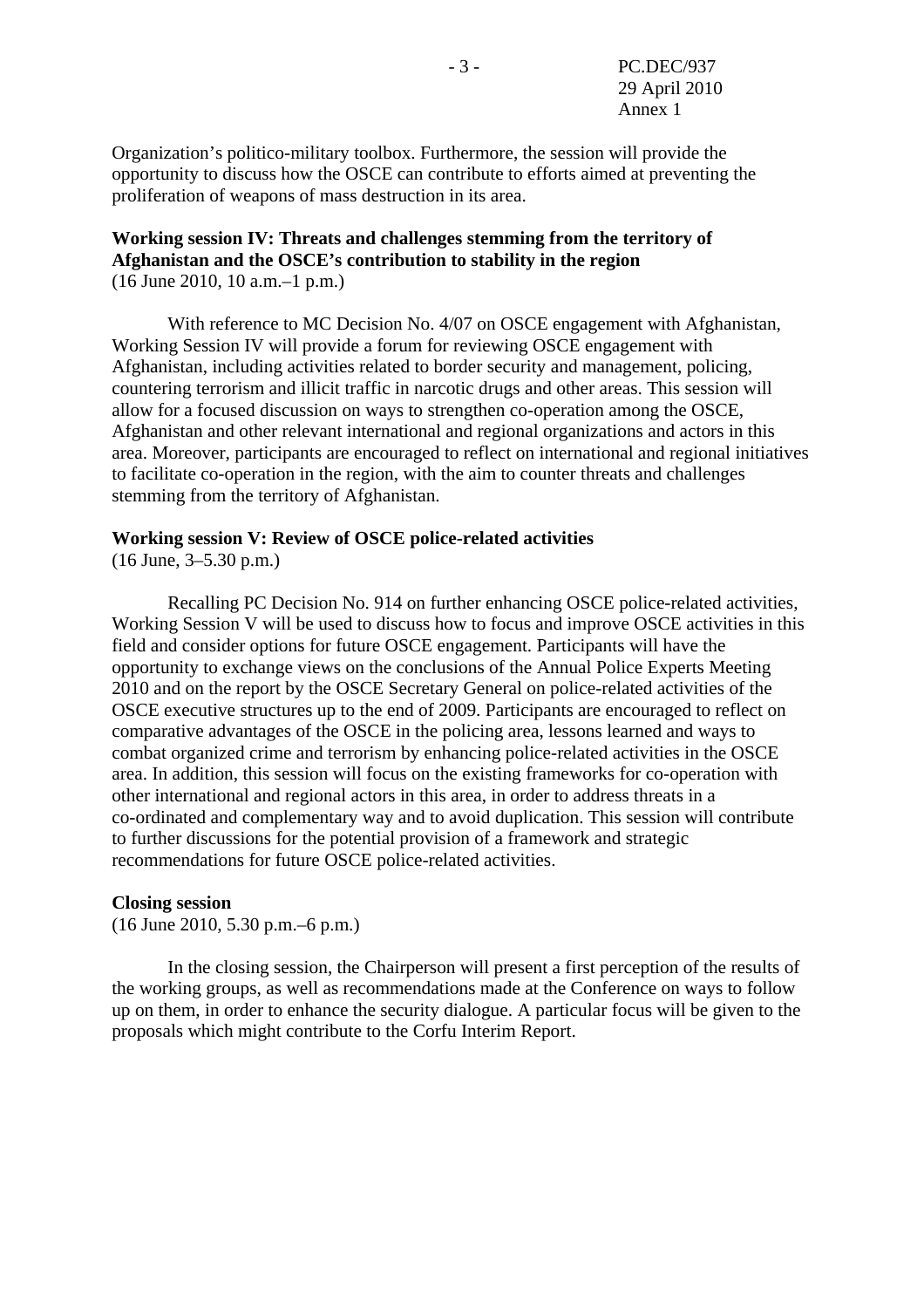Organization's politico-military toolbox. Furthermore, the session will provide the opportunity to discuss how the OSCE can contribute to efforts aimed at preventing the proliferation of weapons of mass destruction in its area.

## **Working session IV: Threats and challenges stemming from the territory of Afghanistan and the OSCE's contribution to stability in the region**  (16 June 2010, 10 a.m.–1 p.m.)

 With reference to MC Decision No. 4/07 on OSCE engagement with Afghanistan, Working Session IV will provide a forum for reviewing OSCE engagement with Afghanistan, including activities related to border security and management, policing, countering terrorism and illicit traffic in narcotic drugs and other areas. This session will allow for a focused discussion on ways to strengthen co-operation among the OSCE, Afghanistan and other relevant international and regional organizations and actors in this area. Moreover, participants are encouraged to reflect on international and regional initiatives to facilitate co-operation in the region, with the aim to counter threats and challenges stemming from the territory of Afghanistan.

## **Working session V: Review of OSCE police-related activities**

(16 June, 3–5.30 p.m.)

 Recalling PC Decision No. 914 on further enhancing OSCE police-related activities, Working Session V will be used to discuss how to focus and improve OSCE activities in this field and consider options for future OSCE engagement. Participants will have the opportunity to exchange views on the conclusions of the Annual Police Experts Meeting 2010 and on the report by the OSCE Secretary General on police-related activities of the OSCE executive structures up to the end of 2009. Participants are encouraged to reflect on comparative advantages of the OSCE in the policing area, lessons learned and ways to combat organized crime and terrorism by enhancing police-related activities in the OSCE area. In addition, this session will focus on the existing frameworks for co-operation with other international and regional actors in this area, in order to address threats in a co-ordinated and complementary way and to avoid duplication. This session will contribute to further discussions for the potential provision of a framework and strategic recommendations for future OSCE police-related activities.

#### **Closing session**

(16 June 2010, 5.30 p.m.–6 p.m.)

 In the closing session, the Chairperson will present a first perception of the results of the working groups, as well as recommendations made at the Conference on ways to follow up on them, in order to enhance the security dialogue. A particular focus will be given to the proposals which might contribute to the Corfu Interim Report.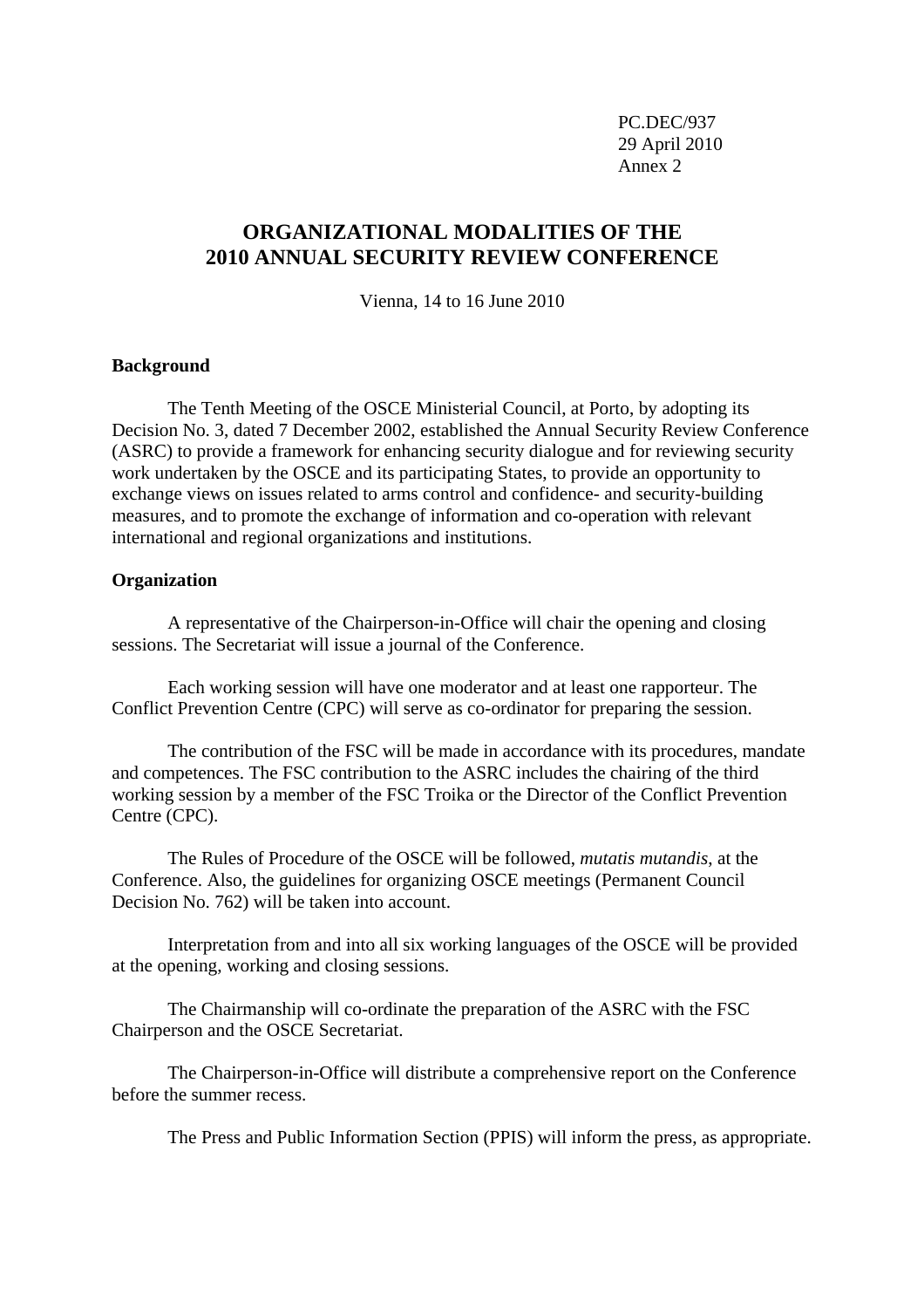PC.DEC/937 29 April 2010 Annex 2

# **ORGANIZATIONAL MODALITIES OF THE 2010 ANNUAL SECURITY REVIEW CONFERENCE**

Vienna, 14 to 16 June 2010

## **Background**

The Tenth Meeting of the OSCE Ministerial Council, at Porto, by adopting its Decision No. 3, dated 7 December 2002, established the Annual Security Review Conference (ASRC) to provide a framework for enhancing security dialogue and for reviewing security work undertaken by the OSCE and its participating States, to provide an opportunity to exchange views on issues related to arms control and confidence- and security-building measures, and to promote the exchange of information and co-operation with relevant international and regional organizations and institutions.

#### **Organization**

A representative of the Chairperson-in-Office will chair the opening and closing sessions. The Secretariat will issue a journal of the Conference.

Each working session will have one moderator and at least one rapporteur. The Conflict Prevention Centre (CPC) will serve as co-ordinator for preparing the session.

The contribution of the FSC will be made in accordance with its procedures, mandate and competences. The FSC contribution to the ASRC includes the chairing of the third working session by a member of the FSC Troika or the Director of the Conflict Prevention Centre (CPC).

The Rules of Procedure of the OSCE will be followed, *mutatis mutandis*, at the Conference. Also, the guidelines for organizing OSCE meetings (Permanent Council Decision No. 762) will be taken into account.

Interpretation from and into all six working languages of the OSCE will be provided at the opening, working and closing sessions.

The Chairmanship will co-ordinate the preparation of the ASRC with the FSC Chairperson and the OSCE Secretariat.

The Chairperson-in-Office will distribute a comprehensive report on the Conference before the summer recess.

The Press and Public Information Section (PPIS) will inform the press, as appropriate.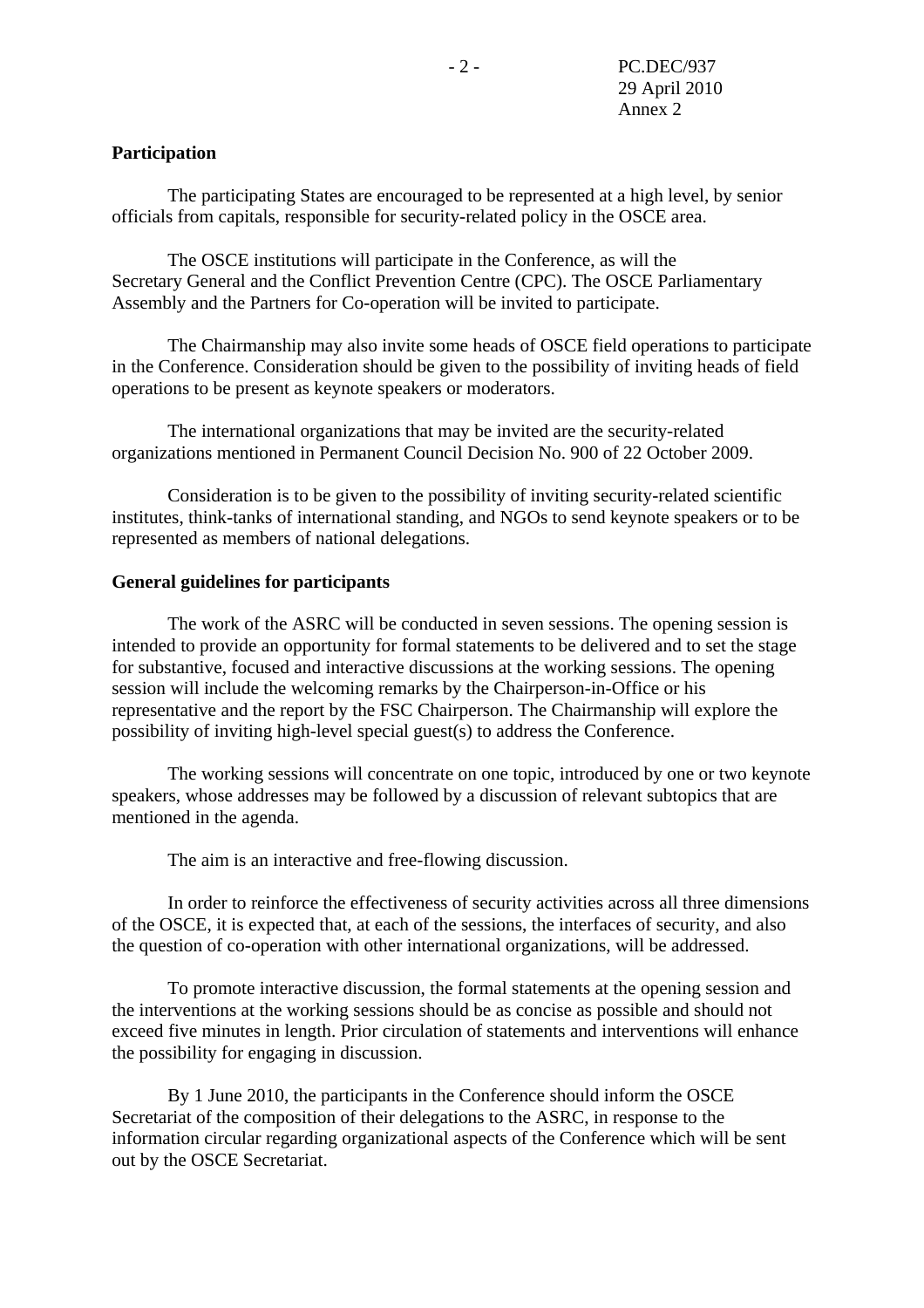## **Participation**

 The participating States are encouraged to be represented at a high level, by senior officials from capitals, responsible for security-related policy in the OSCE area.

 The OSCE institutions will participate in the Conference, as will the Secretary General and the Conflict Prevention Centre (CPC). The OSCE Parliamentary Assembly and the Partners for Co-operation will be invited to participate.

 The Chairmanship may also invite some heads of OSCE field operations to participate in the Conference. Consideration should be given to the possibility of inviting heads of field operations to be present as keynote speakers or moderators.

 The international organizations that may be invited are the security-related organizations mentioned in Permanent Council Decision No. 900 of 22 October 2009.

 Consideration is to be given to the possibility of inviting security-related scientific institutes, think-tanks of international standing, and NGOs to send keynote speakers or to be represented as members of national delegations.

#### **General guidelines for participants**

 The work of the ASRC will be conducted in seven sessions. The opening session is intended to provide an opportunity for formal statements to be delivered and to set the stage for substantive, focused and interactive discussions at the working sessions. The opening session will include the welcoming remarks by the Chairperson-in-Office or his representative and the report by the FSC Chairperson. The Chairmanship will explore the possibility of inviting high-level special guest(s) to address the Conference.

 The working sessions will concentrate on one topic, introduced by one or two keynote speakers, whose addresses may be followed by a discussion of relevant subtopics that are mentioned in the agenda.

The aim is an interactive and free-flowing discussion.

 In order to reinforce the effectiveness of security activities across all three dimensions of the OSCE, it is expected that, at each of the sessions, the interfaces of security, and also the question of co-operation with other international organizations, will be addressed.

 To promote interactive discussion, the formal statements at the opening session and the interventions at the working sessions should be as concise as possible and should not exceed five minutes in length. Prior circulation of statements and interventions will enhance the possibility for engaging in discussion.

 By 1 June 2010, the participants in the Conference should inform the OSCE Secretariat of the composition of their delegations to the ASRC, in response to the information circular regarding organizational aspects of the Conference which will be sent out by the OSCE Secretariat.